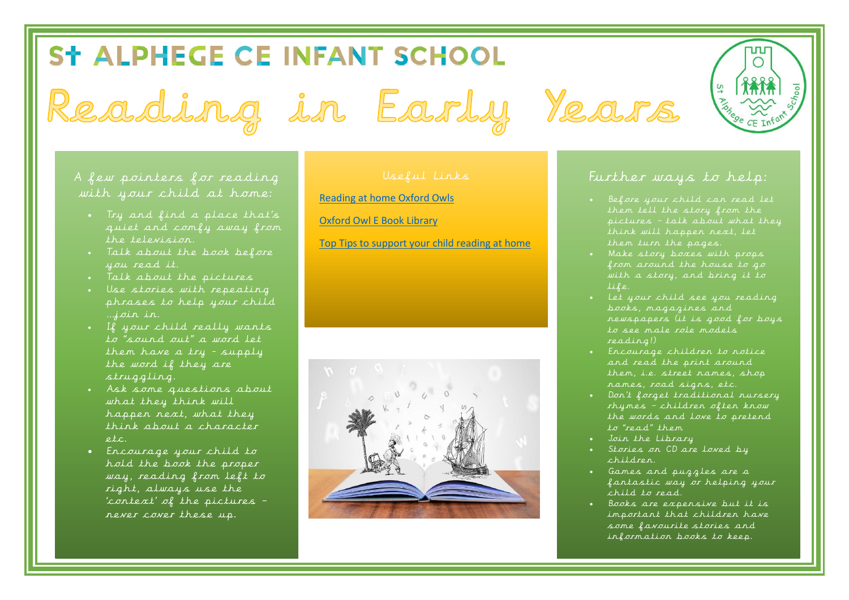## ST ALPHEGE CE INFANT SCHOOL

Reading in Early Years

A few pointers for reading with your child at home:

- Try and find a place that's quiet and comfy away from the television.
- . Talk about the book before you read it.
- Talk about the pictures
- Use stories with repeating phrases to help your child …join in.
- If your child really wants to "sound out" a word let them have a try - supply the word if they are struggling.
- Ask some questions about what they think will happen next, what they think about a character  $etc.$
- Encourage your child to hold the book the proper way, reading from left to right, always use the 'context' of the pictures – never cover these up.

[Reading at home Oxford Owls](https://home.oxfordowl.co.uk/reading/reading-age-4-5-reception/)

[Oxford Owl E Book Library](https://www.oxfordowl.co.uk/for-home/find-a-book/library-page/?view=image&query=&type=book&age_group=Age+4-5&level=&level_select=&book_type=&series=)

[Top Tips to support your child reading at home](https://www.bbc.co.uk/bitesize/articles/zbxby9q)





## Further ways to help:

- Before your child can read let them tell the story from the think will happen next, let them turn the pages.
- Make story boxes with props from around the house to go with a story, and bring it to life.
- Let your child see you reading books, magazines and newspapers (it is good for boys to see male role models reading!)
- Encourage children to notice and read the print around them, i.e. street names, shop names, road signs, etc.
- Don't forget traditional nursery rhymes – children often know the words and love to pretend to "read" them
- Join the Library
- Stories on CD are loved by children.
- Games and puzzles are a fantastic way or helping your child to read.
- Books are expensive but it is important that children have some favourite stories and information books to keep.